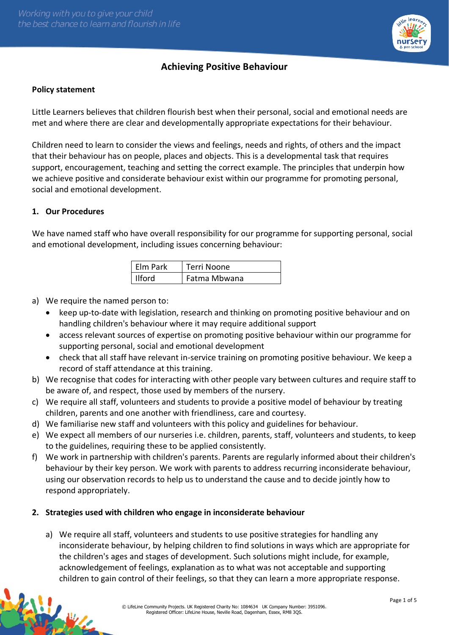

# **Achieving Positive Behaviour**

### **Policy statement**

Little Learners believes that children flourish best when their personal, social and emotional needs are met and where there are clear and developmentally appropriate expectations for their behaviour.

Children need to learn to consider the views and feelings, needs and rights, of others and the impact that their behaviour has on people, places and objects. This is a developmental task that requires support, encouragement, teaching and setting the correct example. The principles that underpin how we achieve positive and considerate behaviour exist within our programme for promoting personal, social and emotional development.

### **1. Our Procedures**

We have named staff who have overall responsibility for our programme for supporting personal, social and emotional development, including issues concerning behaviour:

| Elm Park      | Terri Noone  |
|---------------|--------------|
| <b>Ilford</b> | Fatma Mbwana |

a) We require the named person to:

- keep up-to-date with legislation, research and thinking on promoting positive behaviour and on handling children's behaviour where it may require additional support
- access relevant sources of expertise on promoting positive behaviour within our programme for supporting personal, social and emotional development
- check that all staff have relevant in-service training on promoting positive behaviour. We keep a record of staff attendance at this training.
- b) We recognise that codes for interacting with other people vary between cultures and require staff to be aware of, and respect, those used by members of the nursery.
- c) We require all staff, volunteers and students to provide a positive model of behaviour by treating children, parents and one another with friendliness, care and courtesy.
- d) We familiarise new staff and volunteers with this policy and guidelines for behaviour.
- e) We expect all members of our nurseries i.e. children, parents, staff, volunteers and students, to keep to the guidelines, requiring these to be applied consistently.
- f) We work in partnership with children's parents. Parents are regularly informed about their children's behaviour by their key person. We work with parents to address recurring inconsiderate behaviour, using our observation records to help us to understand the cause and to decide jointly how to respond appropriately.

### **2. Strategies used with children who engage in inconsiderate behaviour**

a) We require all staff, volunteers and students to use positive strategies for handling any inconsiderate behaviour, by helping children to find solutions in ways which are appropriate for the children's ages and stages of development. Such solutions might include, for example, acknowledgement of feelings, explanation as to what was not acceptable and supporting children to gain control of their feelings, so that they can learn a more appropriate response.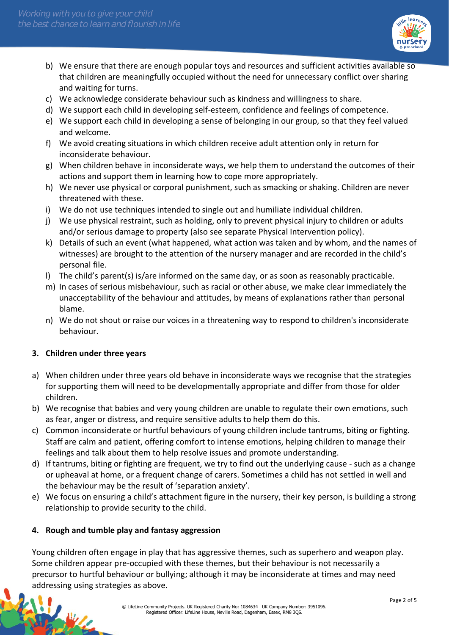

- b) We ensure that there are enough popular toys and resources and sufficient activities available so that children are meaningfully occupied without the need for unnecessary conflict over sharing and waiting for turns.
- c) We acknowledge considerate behaviour such as kindness and willingness to share.
- d) We support each child in developing self-esteem, confidence and feelings of competence.
- e) We support each child in developing a sense of belonging in our group, so that they feel valued and welcome.
- f) We avoid creating situations in which children receive adult attention only in return for inconsiderate behaviour.
- g) When children behave in inconsiderate ways, we help them to understand the outcomes of their actions and support them in learning how to cope more appropriately.
- h) We never use physical or corporal punishment, such as smacking or shaking. Children are never threatened with these.
- i) We do not use techniques intended to single out and humiliate individual children.
- j) We use physical restraint, such as holding, only to prevent physical injury to children or adults and/or serious damage to property (also see separate Physical Intervention policy).
- k) Details of such an event (what happened, what action was taken and by whom, and the names of witnesses) are brought to the attention of the nursery manager and are recorded in the child's personal file.
- l) The child's parent(s) is/are informed on the same day, or as soon as reasonably practicable.
- m) In cases of serious misbehaviour, such as racial or other abuse, we make clear immediately the unacceptability of the behaviour and attitudes, by means of explanations rather than personal blame.
- n) We do not shout or raise our voices in a threatening way to respond to children's inconsiderate behaviour.

### **3. Children under three years**

- a) When children under three years old behave in inconsiderate ways we recognise that the strategies for supporting them will need to be developmentally appropriate and differ from those for older children.
- b) We recognise that babies and very young children are unable to regulate their own emotions, such as fear, anger or distress, and require sensitive adults to help them do this.
- c) Common inconsiderate or hurtful behaviours of young children include tantrums, biting or fighting. Staff are calm and patient, offering comfort to intense emotions, helping children to manage their feelings and talk about them to help resolve issues and promote understanding.
- d) If tantrums, biting or fighting are frequent, we try to find out the underlying cause such as a change or upheaval at home, or a frequent change of carers. Sometimes a child has not settled in well and the behaviour may be the result of 'separation anxiety'.
- e) We focus on ensuring a child's attachment figure in the nursery, their key person, is building a strong relationship to provide security to the child.

### **4. Rough and tumble play and fantasy aggression**

Young children often engage in play that has aggressive themes, such as superhero and weapon play. Some children appear pre-occupied with these themes, but their behaviour is not necessarily a precursor to hurtful behaviour or bullying; although it may be inconsiderate at times and may need addressing using strategies as above.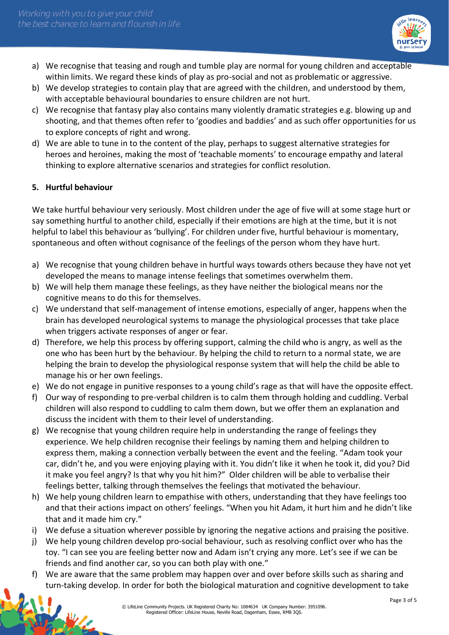

- a) We recognise that teasing and rough and tumble play are normal for young children and acceptable within limits. We regard these kinds of play as pro-social and not as problematic or aggressive.
- b) We develop strategies to contain play that are agreed with the children, and understood by them, with acceptable behavioural boundaries to ensure children are not hurt.
- c) We recognise that fantasy play also contains many violently dramatic strategies e.g. blowing up and shooting, and that themes often refer to 'goodies and baddies' and as such offer opportunities for us to explore concepts of right and wrong.
- d) We are able to tune in to the content of the play, perhaps to suggest alternative strategies for heroes and heroines, making the most of 'teachable moments' to encourage empathy and lateral thinking to explore alternative scenarios and strategies for conflict resolution.

## **5. Hurtful behaviour**

We take hurtful behaviour very seriously. Most children under the age of five will at some stage hurt or say something hurtful to another child, especially if their emotions are high at the time, but it is not helpful to label this behaviour as 'bullying'. For children under five, hurtful behaviour is momentary, spontaneous and often without cognisance of the feelings of the person whom they have hurt.

- a) We recognise that young children behave in hurtful ways towards others because they have not yet developed the means to manage intense feelings that sometimes overwhelm them.
- b) We will help them manage these feelings, as they have neither the biological means nor the cognitive means to do this for themselves.
- c) We understand that self-management of intense emotions, especially of anger, happens when the brain has developed neurological systems to manage the physiological processes that take place when triggers activate responses of anger or fear.
- d) Therefore, we help this process by offering support, calming the child who is angry, as well as the one who has been hurt by the behaviour. By helping the child to return to a normal state, we are helping the brain to develop the physiological response system that will help the child be able to manage his or her own feelings.
- e) We do not engage in punitive responses to a young child's rage as that will have the opposite effect.
- f) Our way of responding to pre-verbal children is to calm them through holding and cuddling. Verbal children will also respond to cuddling to calm them down, but we offer them an explanation and discuss the incident with them to their level of understanding.
- g) We recognise that young children require help in understanding the range of feelings they experience. We help children recognise their feelings by naming them and helping children to express them, making a connection verbally between the event and the feeling. "Adam took your car, didn't he, and you were enjoying playing with it. You didn't like it when he took it, did you? Did it make you feel angry? Is that why you hit him?" Older children will be able to verbalise their feelings better, talking through themselves the feelings that motivated the behaviour.
- h) We help young children learn to empathise with others, understanding that they have feelings too and that their actions impact on others' feelings. "When you hit Adam, it hurt him and he didn't like that and it made him cry."
- i) We defuse a situation wherever possible by ignoring the negative actions and praising the positive.
- j) We help young children develop pro-social behaviour, such as resolving conflict over who has the toy. "I can see you are feeling better now and Adam isn't crying any more. Let's see if we can be friends and find another car, so you can both play with one."
- f) We are aware that the same problem may happen over and over before skills such as sharing and turn-taking develop. In order for both the biological maturation and cognitive development to take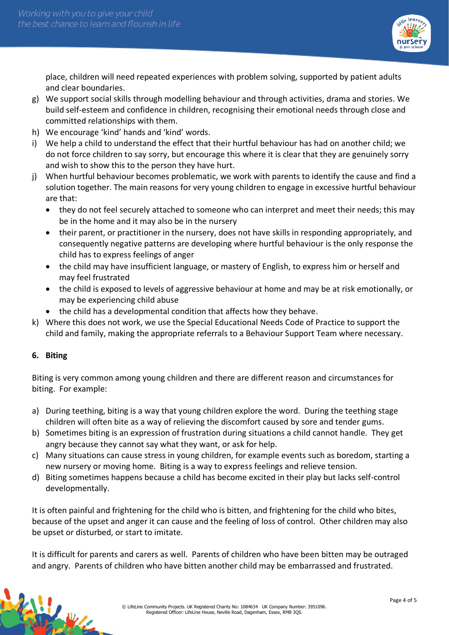

place, children will need repeated experiences with problem solving, supported by patient adults and clear boundaries.

- g) We support social skills through modelling behaviour and through activities, drama and stories. We build self-esteem and confidence in children, recognising their emotional needs through close and committed relationships with them.
- h) We encourage 'kind' hands and 'kind' words.
- i) We help a child to understand the effect that their hurtful behaviour has had on another child; we do not force children to say sorry, but encourage this where it is clear that they are genuinely sorry and wish to show this to the person they have hurt.
- j) When hurtful behaviour becomes problematic, we work with parents to identify the cause and find a solution together. The main reasons for very young children to engage in excessive hurtful behaviour are that:
	- they do not feel securely attached to someone who can interpret and meet their needs; this may be in the home and it may also be in the nursery
	- their parent, or practitioner in the nursery, does not have skills in responding appropriately, and consequently negative patterns are developing where hurtful behaviour is the only response the child has to express feelings of anger
	- the child may have insufficient language, or mastery of English, to express him or herself and may feel frustrated
	- the child is exposed to levels of aggressive behaviour at home and may be at risk emotionally, or may be experiencing child abuse
	- the child has a developmental condition that affects how they behave.
- k) Where this does not work, we use the Special Educational Needs Code of Practice to support the child and family, making the appropriate referrals to a Behaviour Support Team where necessary.

### **6. Biting**

Biting is very common among young children and there are different reason and circumstances for biting. For example:

- a) During teething, biting is a way that young children explore the word. During the teething stage children will often bite as a way of relieving the discomfort caused by sore and tender gums.
- b) Sometimes biting is an expression of frustration during situations a child cannot handle. They get angry because they cannot say what they want, or ask for help.
- c) Many situations can cause stress in young children, for example events such as boredom, starting a new nursery or moving home. Biting is a way to express feelings and relieve tension.
- d) Biting sometimes happens because a child has become excited in their play but lacks self-control developmentally.

It is often painful and frightening for the child who is bitten, and frightening for the child who bites, because of the upset and anger it can cause and the feeling of loss of control. Other children may also be upset or disturbed, or start to imitate.

It is difficult for parents and carers as well. Parents of children who have been bitten may be outraged and angry. Parents of children who have bitten another child may be embarrassed and frustrated.